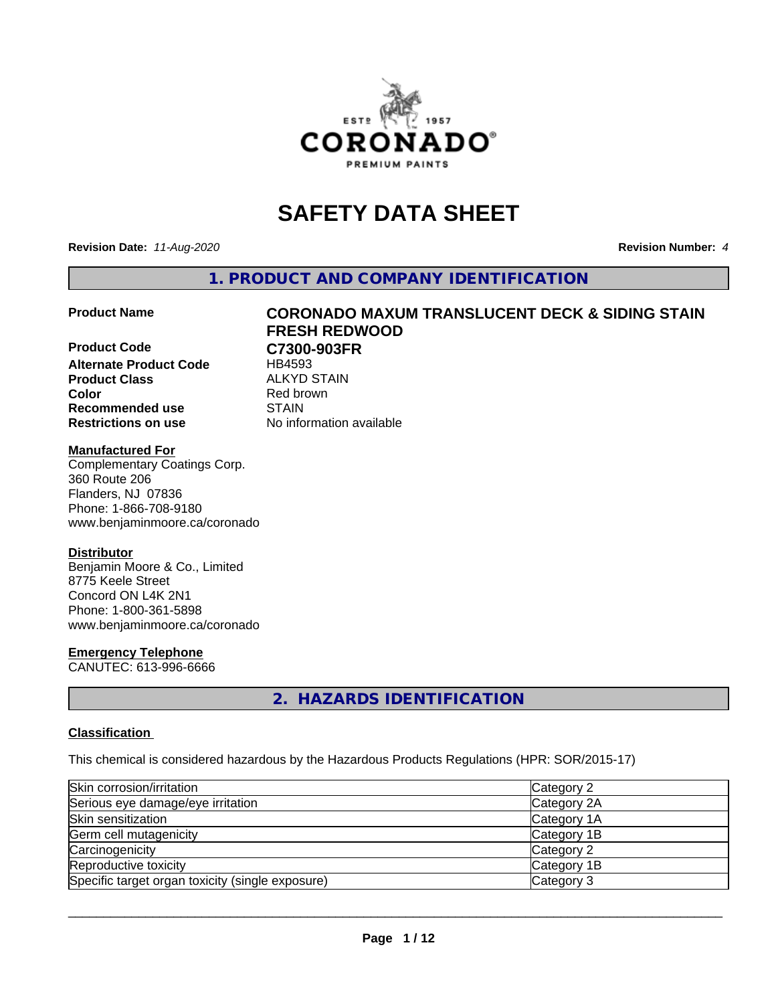

# **SAFETY DATA SHEET**

**Revision Date:** *11-Aug-2020* **Revision Number:** *4*

**1. PRODUCT AND COMPANY IDENTIFICATION**

**Product Code C7300-903FR Alternate Product Code** HB4593 **Product Class** ALKYD STAIN<br> **Color** Red brown **Recommended use STAIN Restrictions on use** No information available

# **Product Name CORONADO MAXUM TRANSLUCENT DECK & SIDING STAIN FRESH REDWOOD**

**Red brown** 

# **Manufactured For**

Complementary Coatings Corp. 360 Route 206 Flanders, NJ 07836 Phone: 1-866-708-9180 www.benjaminmoore.ca/coronado

# **Distributor**

Benjamin Moore & Co., Limited 8775 Keele Street Concord ON L4K 2N1 Phone: 1-800-361-5898 www.benjaminmoore.ca/coronado

# **Emergency Telephone**

CANUTEC: 613-996-6666

# **2. HAZARDS IDENTIFICATION**

# **Classification**

This chemical is considered hazardous by the Hazardous Products Regulations (HPR: SOR/2015-17)

| Skin corrosion/irritation                        | Category 2  |
|--------------------------------------------------|-------------|
| Serious eye damage/eye irritation                | Category 2A |
| Skin sensitization                               | Category 1A |
| Germ cell mutagenicity                           | Category 1B |
| Carcinogenicity                                  | Category 2  |
| Reproductive toxicity                            | Category 1B |
| Specific target organ toxicity (single exposure) | Category 3  |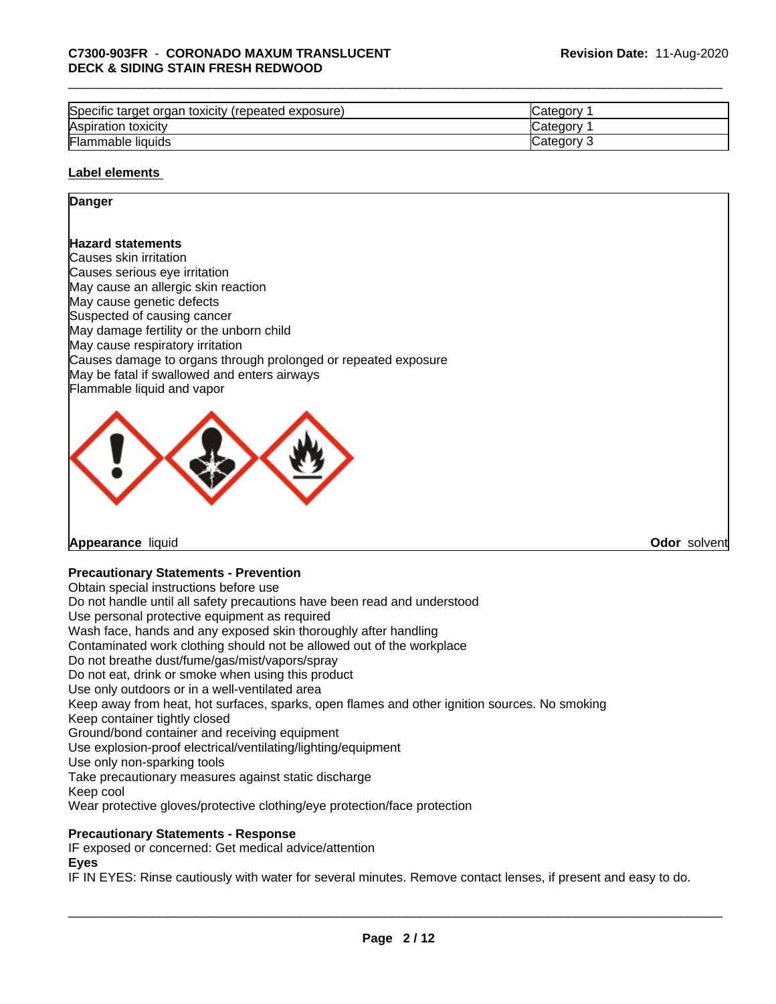# \_\_\_\_\_\_\_\_\_\_\_\_\_\_\_\_\_\_\_\_\_\_\_\_\_\_\_\_\_\_\_\_\_\_\_\_\_\_\_\_\_\_\_\_\_\_\_\_\_\_\_\_\_\_\_\_\_\_\_\_\_\_\_\_\_\_\_\_\_\_\_\_\_\_\_\_\_\_\_\_\_\_\_\_\_\_\_\_\_\_\_\_\_ **C7300-903FR** - **CORONADO MAXUM TRANSLUCENT DECK & SIDING STAIN FRESH REDWOOD**

| Specific target organ toxicity (repeated exposure) | ∵ategory.  |
|----------------------------------------------------|------------|
| Aspiration toxicity                                | ′ ategory. |
| Flammable liquids                                  | Category   |

# **Label elements**

# **Danger**

# **Hazard statements**

Causes skin irritation Causes serious eye irritation May cause an allergic skin reaction May cause genetic defects Suspected of causing cancer May damage fertility or the unborn child May cause respiratory irritation Causes damage to organs through prolonged or repeated exposure May be fatal if swallowed and enters airways Flammable liquid and vapor



**Appearance** liquid **Odor** solvent

# **Precautionary Statements - Prevention**

Obtain special instructions before use Do not handle until all safety precautions have been read and understood Use personal protective equipment as required Wash face, hands and any exposed skin thoroughly after handling Contaminated work clothing should not be allowed out of the workplace Do not breathe dust/fume/gas/mist/vapors/spray Do not eat, drink or smoke when using this product Use only outdoors or in a well-ventilated area Keep away from heat, hot surfaces, sparks, open flames and other ignition sources. No smoking Keep container tightly closed Ground/bond container and receiving equipment Use explosion-proof electrical/ventilating/lighting/equipment Use only non-sparking tools Take precautionary measures against static discharge Keep cool Wear protective gloves/protective clothing/eye protection/face protection **Precautionary Statements - Response** IF exposed or concerned: Get medical advice/attention

**Eyes**

IF IN EYES: Rinse cautiously with water forseveral minutes. Remove contact lenses, if present and easy to do.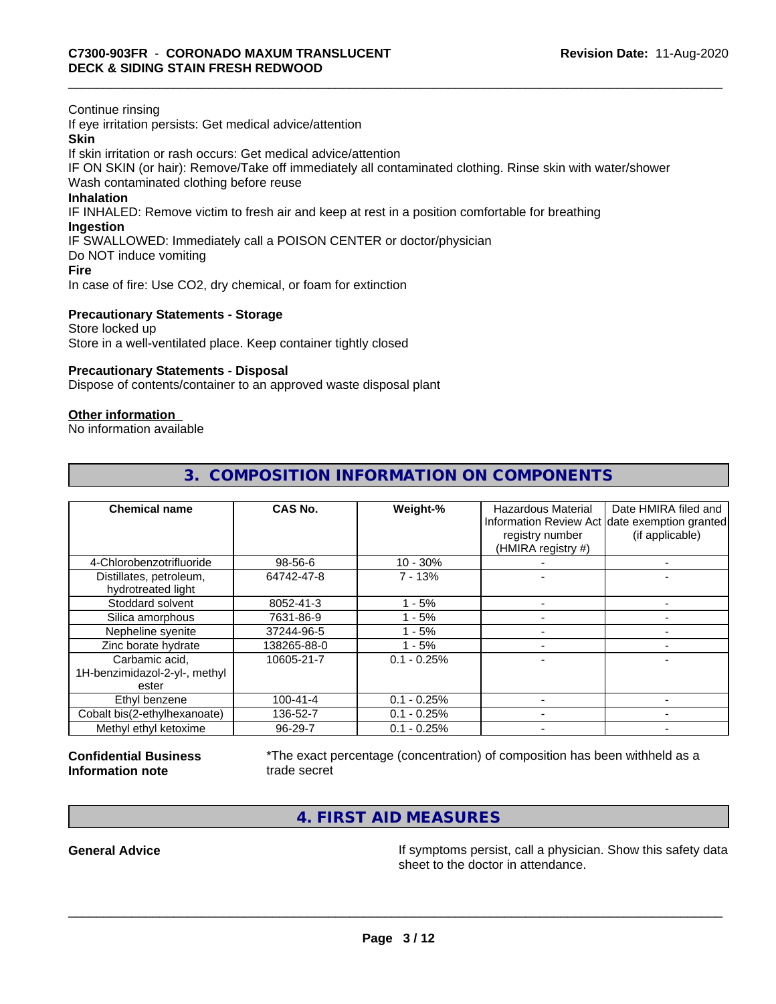Continue rinsing

If eye irritation persists: Get medical advice/attention **Skin**

If skin irritation or rash occurs: Get medical advice/attention

IF ON SKIN (or hair): Remove/Take off immediately all contaminated clothing. Rinse skin with water/shower Wash contaminated clothing before reuse

# **Inhalation**

IF INHALED: Remove victim to fresh air and keep at rest in a position comfortable for breathing

# **Ingestion**

IF SWALLOWED: Immediately call a POISON CENTER or doctor/physician

Do NOT induce vomiting

**Fire**

In case of fire: Use CO2, dry chemical, or foam for extinction

# **Precautionary Statements - Storage**

Store locked up Store in a well-ventilated place. Keep container tightly closed

# **Precautionary Statements - Disposal**

Dispose of contents/container to an approved waste disposal plant

# **Other information**

No information available

| <b>Chemical name</b>                                     | CAS No.        | Weight-%      | Hazardous Material<br>registry number<br>(HMIRA registry #) | Date HMIRA filed and<br>Information Review Act date exemption granted<br>(if applicable) |
|----------------------------------------------------------|----------------|---------------|-------------------------------------------------------------|------------------------------------------------------------------------------------------|
| 4-Chlorobenzotrifluoride                                 | 98-56-6        | $10 - 30%$    |                                                             |                                                                                          |
| Distillates, petroleum,<br>hydrotreated light            | 64742-47-8     | $7 - 13%$     |                                                             |                                                                                          |
| Stoddard solvent                                         | 8052-41-3      | $1 - 5%$      |                                                             |                                                                                          |
| Silica amorphous                                         | 7631-86-9      | $1 - 5%$      |                                                             |                                                                                          |
| Nepheline syenite                                        | 37244-96-5     | $-5%$         |                                                             |                                                                                          |
| Zinc borate hydrate                                      | 138265-88-0    | $1 - 5%$      |                                                             |                                                                                          |
| Carbamic acid,<br>1H-benzimidazol-2-yl-, methyl<br>ester | 10605-21-7     | $0.1 - 0.25%$ |                                                             |                                                                                          |
| Ethyl benzene                                            | $100 - 41 - 4$ | $0.1 - 0.25%$ |                                                             |                                                                                          |
| Cobalt bis(2-ethylhexanoate)                             | 136-52-7       | $0.1 - 0.25%$ |                                                             |                                                                                          |
| Methyl ethyl ketoxime                                    | 96-29-7        | $0.1 - 0.25%$ |                                                             |                                                                                          |

# **3. COMPOSITION INFORMATION ON COMPONENTS**

# **Confidential Business Information note**

\*The exact percentage (concentration) of composition has been withheld as a trade secret

 $\overline{\phantom{a}}$  ,  $\overline{\phantom{a}}$  ,  $\overline{\phantom{a}}$  ,  $\overline{\phantom{a}}$  ,  $\overline{\phantom{a}}$  ,  $\overline{\phantom{a}}$  ,  $\overline{\phantom{a}}$  ,  $\overline{\phantom{a}}$  ,  $\overline{\phantom{a}}$  ,  $\overline{\phantom{a}}$  ,  $\overline{\phantom{a}}$  ,  $\overline{\phantom{a}}$  ,  $\overline{\phantom{a}}$  ,  $\overline{\phantom{a}}$  ,  $\overline{\phantom{a}}$  ,  $\overline{\phantom{a}}$ 

**4. FIRST AID MEASURES**

General Advice **In the Seneral Advice** If symptoms persist, call a physician. Show this safety data sheet to the doctor in attendance.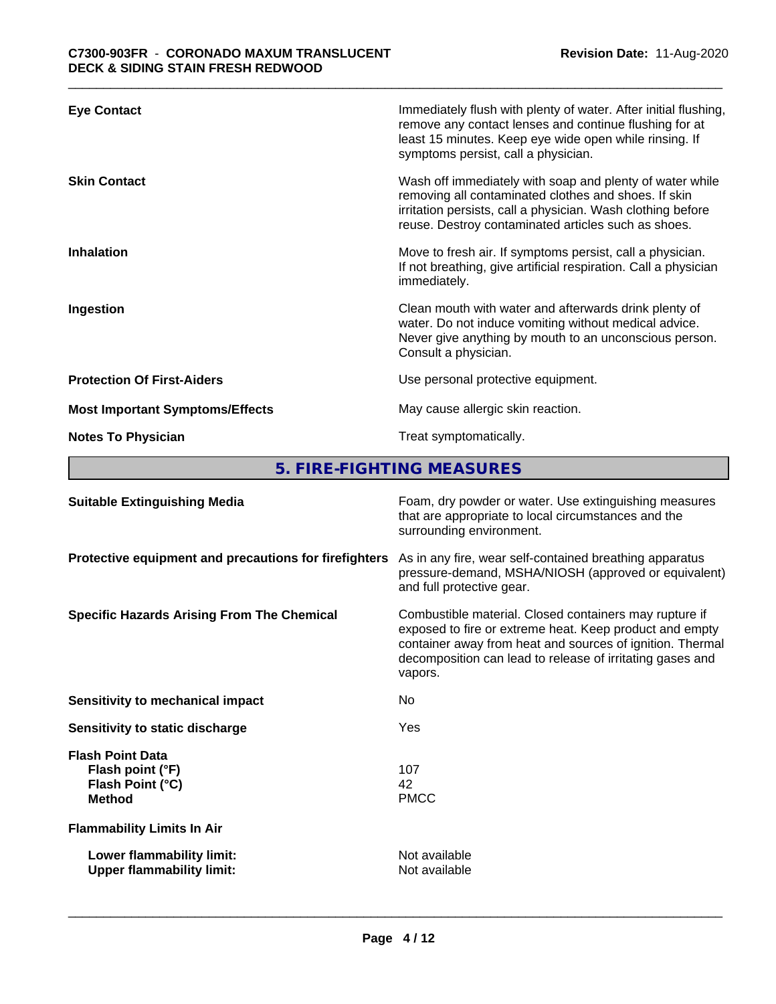| <b>Eye Contact</b>                     | Immediately flush with plenty of water. After initial flushing,<br>remove any contact lenses and continue flushing for at<br>least 15 minutes. Keep eye wide open while rinsing. If<br>symptoms persist, call a physician.             |
|----------------------------------------|----------------------------------------------------------------------------------------------------------------------------------------------------------------------------------------------------------------------------------------|
| <b>Skin Contact</b>                    | Wash off immediately with soap and plenty of water while<br>removing all contaminated clothes and shoes. If skin<br>irritation persists, call a physician. Wash clothing before<br>reuse. Destroy contaminated articles such as shoes. |
| <b>Inhalation</b>                      | Move to fresh air. If symptoms persist, call a physician.<br>If not breathing, give artificial respiration. Call a physician<br>immediately.                                                                                           |
| Ingestion                              | Clean mouth with water and afterwards drink plenty of<br>water. Do not induce vomiting without medical advice.<br>Never give anything by mouth to an unconscious person.<br>Consult a physician.                                       |
| <b>Protection Of First-Aiders</b>      | Use personal protective equipment.                                                                                                                                                                                                     |
| <b>Most Important Symptoms/Effects</b> | May cause allergic skin reaction.                                                                                                                                                                                                      |
| <b>Notes To Physician</b>              | Treat symptomatically.                                                                                                                                                                                                                 |

**5. FIRE-FIGHTING MEASURES**

| <b>Suitable Extinguishing Media</b>                                              | Foam, dry powder or water. Use extinguishing measures<br>that are appropriate to local circumstances and the<br>surrounding environment.                                                                                                               |
|----------------------------------------------------------------------------------|--------------------------------------------------------------------------------------------------------------------------------------------------------------------------------------------------------------------------------------------------------|
| Protective equipment and precautions for firefighters                            | As in any fire, wear self-contained breathing apparatus<br>pressure-demand, MSHA/NIOSH (approved or equivalent)<br>and full protective gear.                                                                                                           |
| <b>Specific Hazards Arising From The Chemical</b>                                | Combustible material. Closed containers may rupture if<br>exposed to fire or extreme heat. Keep product and empty<br>container away from heat and sources of ignition. Thermal<br>decomposition can lead to release of irritating gases and<br>vapors. |
| Sensitivity to mechanical impact                                                 | No                                                                                                                                                                                                                                                     |
| Sensitivity to static discharge                                                  | Yes                                                                                                                                                                                                                                                    |
| <b>Flash Point Data</b><br>Flash point (°F)<br>Flash Point (°C)<br><b>Method</b> | 107<br>42<br><b>PMCC</b>                                                                                                                                                                                                                               |
| <b>Flammability Limits In Air</b>                                                |                                                                                                                                                                                                                                                        |
| Lower flammability limit:<br><b>Upper flammability limit:</b>                    | Not available<br>Not available                                                                                                                                                                                                                         |
|                                                                                  |                                                                                                                                                                                                                                                        |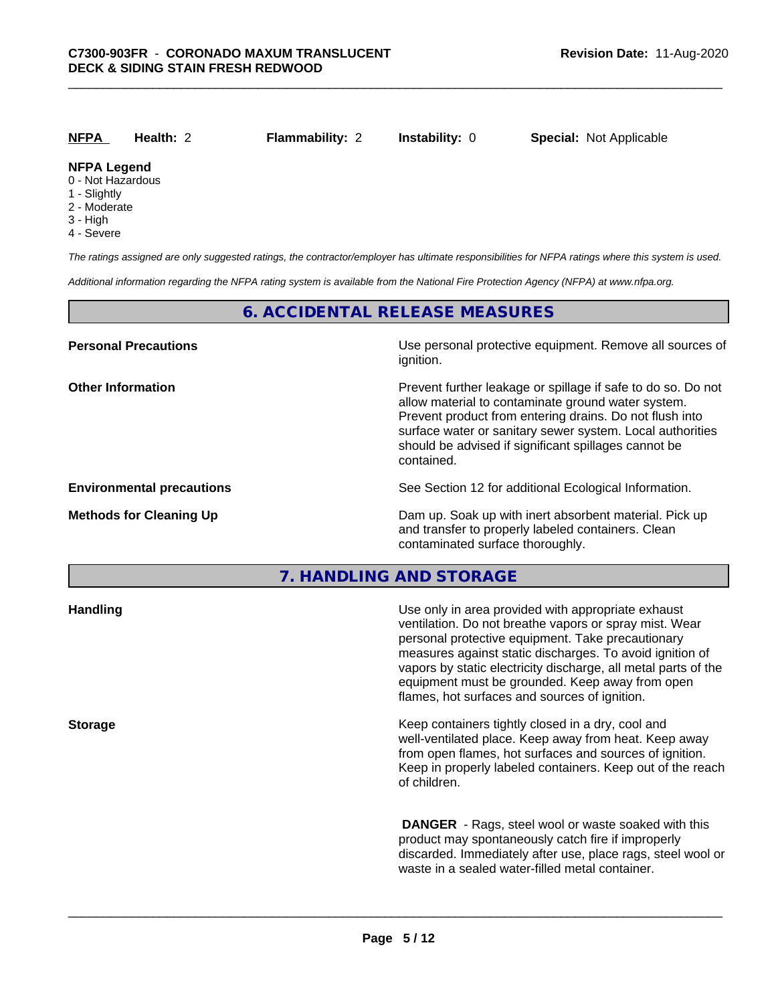| <b>NFPA</b>                                                                                       | Health: 2 | <b>Flammability: 2</b> | <b>Instability: 0</b>                                                                                                                                                               | <b>Special: Not Applicable</b>                                                                                                                     |
|---------------------------------------------------------------------------------------------------|-----------|------------------------|-------------------------------------------------------------------------------------------------------------------------------------------------------------------------------------|----------------------------------------------------------------------------------------------------------------------------------------------------|
| <b>NFPA Legend</b><br>0 - Not Hazardous<br>1 - Slightly<br>2 - Moderate<br>3 - High<br>4 - Severe |           |                        |                                                                                                                                                                                     |                                                                                                                                                    |
|                                                                                                   |           |                        |                                                                                                                                                                                     | The ratings assigned are only suggested ratings, the contractor/employer has ultimate responsibilities for NFPA ratings where this system is used. |
|                                                                                                   |           |                        | Additional information regarding the NFPA rating system is available from the National Fire Protection Agency (NFPA) at www.nfpa.org.                                               |                                                                                                                                                    |
|                                                                                                   |           |                        | <b>6. ACCIDENTAL RELEASE MEASURES</b>                                                                                                                                               |                                                                                                                                                    |
| <b>Personal Precautions</b>                                                                       |           |                        | ignition.                                                                                                                                                                           | Use personal protective equipment. Remove all sources of                                                                                           |
| <b>Other Information</b>                                                                          |           |                        | allow material to contaminate ground water system.<br>Prevent product from entering drains. Do not flush into<br>should be advised if significant spillages cannot be<br>contained. | Prevent further leakage or spillage if safe to do so. Do not<br>surface water or sanitary sewer system. Local authorities                          |
| <b>Environmental precautions</b>                                                                  |           |                        | See Section 12 for additional Ecological Information.                                                                                                                               |                                                                                                                                                    |
| <b>Methods for Cleaning Up</b>                                                                    |           |                        |                                                                                                                                                                                     | Dam up. Soak up with inert absorbent material. Pick up                                                                                             |

**7. HANDLING AND STORAGE**

and transfer to properly labeled containers. Clean

contaminated surface thoroughly.

| Use only in area provided with appropriate exhaust<br>ventilation. Do not breathe vapors or spray mist. Wear<br>personal protective equipment. Take precautionary<br>measures against static discharges. To avoid ignition of<br>vapors by static electricity discharge, all metal parts of the<br>equipment must be grounded. Keep away from open<br>flames, hot surfaces and sources of ignition. |
|-----------------------------------------------------------------------------------------------------------------------------------------------------------------------------------------------------------------------------------------------------------------------------------------------------------------------------------------------------------------------------------------------------|
| Keep containers tightly closed in a dry, cool and<br>well-ventilated place. Keep away from heat. Keep away<br>from open flames, hot surfaces and sources of ignition.<br>Keep in properly labeled containers. Keep out of the reach<br>of children.                                                                                                                                                 |
| <b>DANGER</b> - Rags, steel wool or waste soaked with this<br>product may spontaneously catch fire if improperly<br>discarded. Immediately after use, place rags, steel wool or<br>waste in a sealed water-filled metal container.                                                                                                                                                                  |
|                                                                                                                                                                                                                                                                                                                                                                                                     |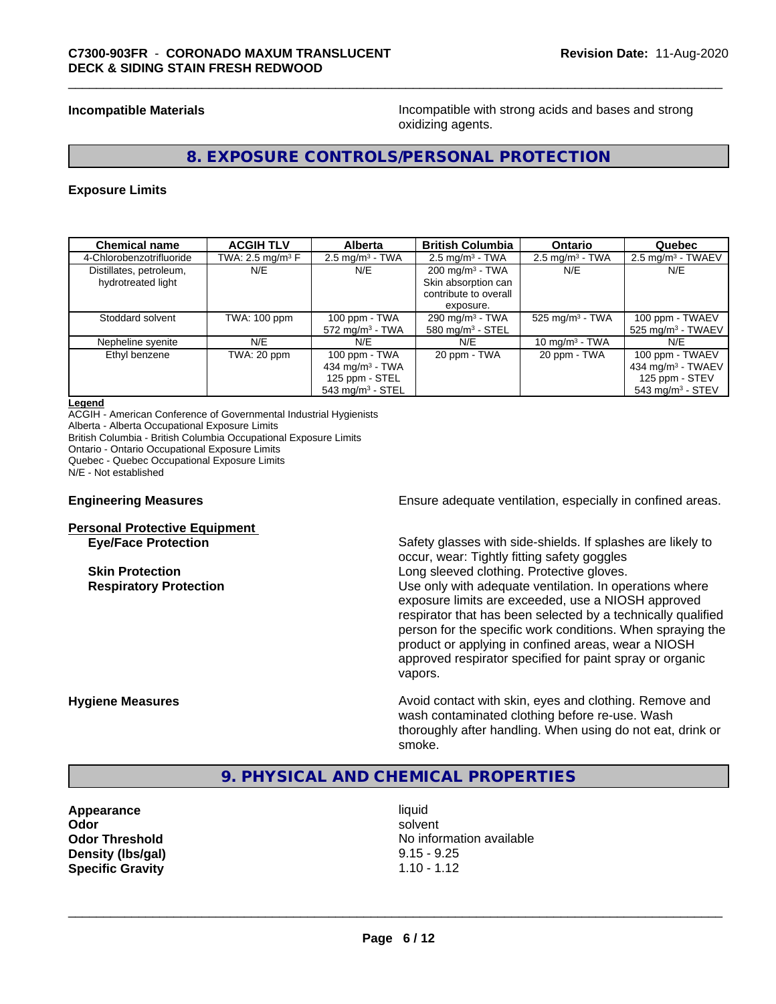**Incompatible Materials Incompatible with strong acids and bases and strong** oxidizing agents.

# **8. EXPOSURE CONTROLS/PERSONAL PROTECTION**

#### **Exposure Limits**

| <b>Chemical name</b>     | <b>ACGIH TLV</b>    | <b>Alberta</b>                 | <b>British Columbia</b>       | <b>Ontario</b>                | Quebec                          |
|--------------------------|---------------------|--------------------------------|-------------------------------|-------------------------------|---------------------------------|
| 4-Chlorobenzotrifluoride | TWA: 2.5 mg/m $3$ F | $2.5$ mg/m <sup>3</sup> - TWA  | $2.5$ mg/m <sup>3</sup> - TWA | $2.5$ mg/m <sup>3</sup> - TWA | $2.5$ mg/m <sup>3</sup> - TWAEV |
| Distillates, petroleum,  | N/E                 | N/E                            | $200 \text{ mg/m}^3$ - TWA    | N/E                           | N/E                             |
| hydrotreated light       |                     |                                | Skin absorption can           |                               |                                 |
|                          |                     |                                | contribute to overall         |                               |                                 |
|                          |                     |                                | exposure.                     |                               |                                 |
| Stoddard solvent         | TWA: 100 ppm        | 100 ppm - TWA                  | 290 mg/m $3$ - TWA            | 525 mg/m $3$ - TWA            | 100 ppm - TWAEV                 |
|                          |                     | $572$ mg/m <sup>3</sup> - TWA  | 580 mg/m <sup>3</sup> - STEL  |                               | $525$ mg/m <sup>3</sup> - TWAEV |
| Nepheline syenite        | N/E                 | N/E                            | N/E                           | 10 mg/m $3$ - TWA             | N/E                             |
| Ethyl benzene            | TWA: 20 ppm         | 100 ppm - TWA                  | 20 ppm - TWA                  | 20 ppm - TWA                  | 100 ppm - TWAEV                 |
|                          |                     | 434 mg/m $3$ - TWA             |                               |                               | 434 mg/m $3$ - TWAEV            |
|                          |                     | 125 ppm - STEL                 |                               |                               | 125 ppm - STEV                  |
|                          |                     | $543$ mg/m <sup>3</sup> - STEL |                               |                               | 543 mg/m <sup>3</sup> - STEV    |

#### **Legend**

ACGIH - American Conference of Governmental Industrial Hygienists Alberta - Alberta Occupational Exposure Limits British Columbia - British Columbia Occupational Exposure Limits Ontario - Ontario Occupational Exposure Limits Quebec - Quebec Occupational Exposure Limits N/E - Not established

# **Personal Protective Equipment**

**Engineering Measures Ensure** Ensure adequate ventilation, especially in confined areas.

**Eye/Face Protection** Safety glasses with side-shields. If splashes are likely to occur, wear: Tightly fitting safety goggles **Skin Protection Skin Protection Long sleeved clothing. Protective gloves. Respiratory Protection Number 1** (Use only with adequate ventilation. In operations where exposure limits are exceeded, use a NIOSH approved respirator that has been selected by a technically qualified person for the specific work conditions. When spraying the product or applying in confined areas, wear a NIOSH approved respirator specified for paint spray or organic vapors.

**Hygiene Measures Avoid contact with skin, eyes and clothing. Remove and Avoid contact with skin, eyes and clothing. Remove and Avoid contact with skin, eyes and clothing. Remove and** wash contaminated clothing before re-use. Wash thoroughly after handling. When using do not eat, drink or smoke.

# **9. PHYSICAL AND CHEMICAL PROPERTIES**

**Appearance** liquid **Density (Ibs/gal)** 9.15 - 9.25 **Specific Gravity** 1.10 - 1.12

**Odor** solvent **Odor Threshold No information available No information available**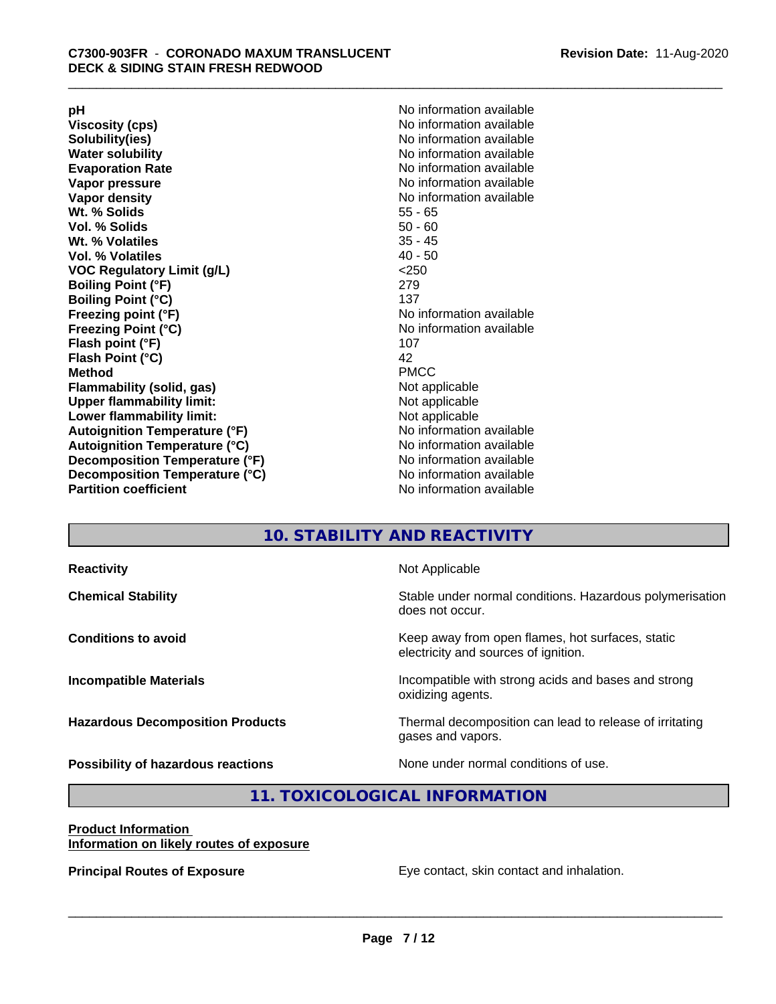**Viscosity (cps)** <br> **Viscosity (cps)** No information available<br>
No information available<br>
No information available **Water solubility**<br> **Evaporation Rate**<br> **Evaporation Rate**<br> **Evaporation Rate Vapor pressure** No information available **Vapor density No information available No information available Wt. % Solids** 55 - 65<br> **Vol. % Solids** 50 - 60 **Vol. % Solids Wt. % Volatiles** 35 - 45 **Vol. % Volatiles** 40 - 50 **VOC Regulatory Limit (g/L)** <250 **Boiling Point (°F)** 279 **Boiling Point (°C) Freezing point (°F)** No information available **Freezing Point (°C)** No information available **Flash point (°F)** 107 **Flash Point (°C)** 42 **Method** PMCC **Flammability (solid, gas)** Not applicable **Upper flammability limit:** Not applicable **Lower flammability limit:** Not applicable **Autoignition Temperature (°F)** No information available **Autoignition Temperature (°C)** No information available **Decomposition Temperature (°F)** No information available **Decomposition Temperature (°C)** No information available<br> **Partition coefficient Partition available** 

**pH**<br>
Viscosity (cps) The Contract of the Contract of No information available<br>
No information available **Solubility(ies)** No information available **Evaporation Rate** No information available **No information available** 

# **10. STABILITY AND REACTIVITY**

| <b>Reactivity</b>                         | Not Applicable                                                                           |
|-------------------------------------------|------------------------------------------------------------------------------------------|
| <b>Chemical Stability</b>                 | Stable under normal conditions. Hazardous polymerisation<br>does not occur.              |
| <b>Conditions to avoid</b>                | Keep away from open flames, hot surfaces, static<br>electricity and sources of ignition. |
| <b>Incompatible Materials</b>             | Incompatible with strong acids and bases and strong<br>oxidizing agents.                 |
| <b>Hazardous Decomposition Products</b>   | Thermal decomposition can lead to release of irritating<br>gases and vapors.             |
| <b>Possibility of hazardous reactions</b> | None under normal conditions of use.                                                     |

# **11. TOXICOLOGICAL INFORMATION**

#### **Product Information Information on likely routes of exposure**

**Principal Routes of Exposure Exposure** Eye contact, skin contact and inhalation.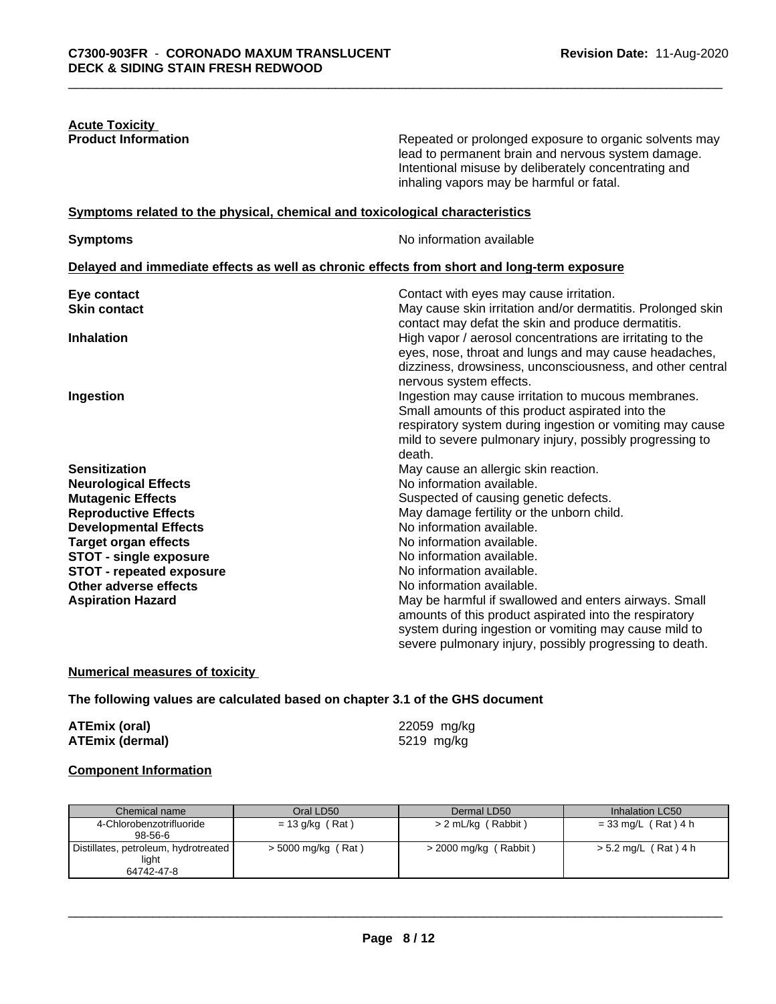| <b>Acute Toxicity</b>      |  |
|----------------------------|--|
| <b>Product Information</b> |  |

Repeated or prolonged exposure to organic solvents may lead to permanent brain and nervous system damage. Intentional misuse by deliberately concentrating and inhaling vapors may be harmful or fatal.

# **Symptoms** related to the physical, chemical and toxicological characteristics

**Symptoms** No information available

|                                 | Delayed and immediate effects as well as chronic effects from short and long-term exposure                                                                                                                                                 |
|---------------------------------|--------------------------------------------------------------------------------------------------------------------------------------------------------------------------------------------------------------------------------------------|
| Eye contact                     | Contact with eyes may cause irritation.                                                                                                                                                                                                    |
| <b>Skin contact</b>             | May cause skin irritation and/or dermatitis. Prolonged skin<br>contact may defat the skin and produce dermatitis.                                                                                                                          |
| <b>Inhalation</b>               | High vapor / aerosol concentrations are irritating to the<br>eyes, nose, throat and lungs and may cause headaches,<br>dizziness, drowsiness, unconsciousness, and other central<br>nervous system effects.                                 |
| <b>Ingestion</b>                | Ingestion may cause irritation to mucous membranes.<br>Small amounts of this product aspirated into the<br>respiratory system during ingestion or vomiting may cause<br>mild to severe pulmonary injury, possibly progressing to<br>death. |
| <b>Sensitization</b>            | May cause an allergic skin reaction.                                                                                                                                                                                                       |
| <b>Neurological Effects</b>     | No information available.                                                                                                                                                                                                                  |
| <b>Mutagenic Effects</b>        | Suspected of causing genetic defects.                                                                                                                                                                                                      |
| <b>Reproductive Effects</b>     | May damage fertility or the unborn child.                                                                                                                                                                                                  |
| <b>Developmental Effects</b>    | No information available.                                                                                                                                                                                                                  |
| <b>Target organ effects</b>     | No information available.                                                                                                                                                                                                                  |
| <b>STOT - single exposure</b>   | No information available.                                                                                                                                                                                                                  |
| <b>STOT - repeated exposure</b> | No information available.                                                                                                                                                                                                                  |
| Other adverse effects           | No information available.                                                                                                                                                                                                                  |
| <b>Aspiration Hazard</b>        | May be harmful if swallowed and enters airways. Small<br>amounts of this product aspirated into the respiratory<br>system during ingestion or vomiting may cause mild to<br>severe pulmonary injury, possibly progressing to death.        |

# **Numerical measures of toxicity**

# **The following values are calculated based on chapter 3.1 of the GHS document**

| <b>ATEmix (oral)</b> |                        |
|----------------------|------------------------|
|                      | <b>ATEmix (dermal)</b> |

**ATEmix (oral)** 22059 mg/kg **ATEmix (dermal)** 5219 mg/kg

 $\overline{\phantom{a}}$  ,  $\overline{\phantom{a}}$  ,  $\overline{\phantom{a}}$  ,  $\overline{\phantom{a}}$  ,  $\overline{\phantom{a}}$  ,  $\overline{\phantom{a}}$  ,  $\overline{\phantom{a}}$  ,  $\overline{\phantom{a}}$  ,  $\overline{\phantom{a}}$  ,  $\overline{\phantom{a}}$  ,  $\overline{\phantom{a}}$  ,  $\overline{\phantom{a}}$  ,  $\overline{\phantom{a}}$  ,  $\overline{\phantom{a}}$  ,  $\overline{\phantom{a}}$  ,  $\overline{\phantom{a}}$ 

# **Component Information**

| Chemical name                        | Oral LD50            | Dermal LD50             | Inhalation LC50        |
|--------------------------------------|----------------------|-------------------------|------------------------|
| 4-Chlorobenzotrifluoride             | $= 13$ g/kg (Rat)    | > 2 mL/kg (Rabbit)      | $= 33$ mg/L (Rat) 4 h  |
| $98 - 56 - 6$                        |                      |                         |                        |
| Distillates, petroleum, hydrotreated | $>$ 5000 mg/kg (Rat) | $>$ 2000 mg/kg (Rabbit) | $> 5.2$ mg/L (Rat) 4 h |
| light                                |                      |                         |                        |
| 64742-47-8                           |                      |                         |                        |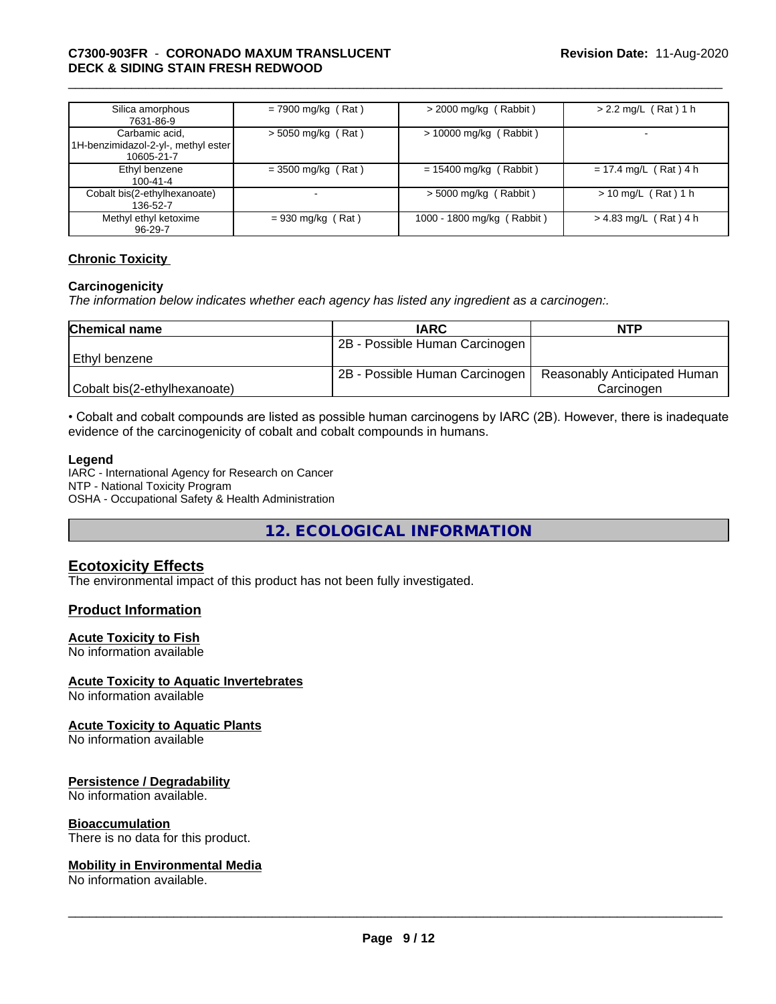# \_\_\_\_\_\_\_\_\_\_\_\_\_\_\_\_\_\_\_\_\_\_\_\_\_\_\_\_\_\_\_\_\_\_\_\_\_\_\_\_\_\_\_\_\_\_\_\_\_\_\_\_\_\_\_\_\_\_\_\_\_\_\_\_\_\_\_\_\_\_\_\_\_\_\_\_\_\_\_\_\_\_\_\_\_\_\_\_\_\_\_\_\_ **C7300-903FR** - **CORONADO MAXUM TRANSLUCENT DECK & SIDING STAIN FRESH REDWOOD**

| Silica amorphous<br>7631-86-9                                       | $= 7900$ mg/kg (Rat) | $>$ 2000 mg/kg (Rabbit)    | $> 2.2$ mg/L (Rat) 1 h  |
|---------------------------------------------------------------------|----------------------|----------------------------|-------------------------|
| Carbamic acid,<br>1H-benzimidazol-2-yl-, methyl ester<br>10605-21-7 | $>$ 5050 mg/kg (Rat) | $> 10000$ mg/kg (Rabbit)   |                         |
| Ethyl benzene<br>$100 - 41 - 4$                                     | $= 3500$ mg/kg (Rat) | $= 15400$ mg/kg (Rabbit)   | $= 17.4$ mg/L (Rat) 4 h |
| Cobalt bis(2-ethylhexanoate)<br>136-52-7                            |                      | $>$ 5000 mg/kg (Rabbit)    | $> 10$ mg/L (Rat) 1 h   |
| Methyl ethyl ketoxime<br>96-29-7                                    | $= 930$ mg/kg (Rat)  | 1000 - 1800 mg/kg (Rabbit) | $> 4.83$ mg/L (Rat) 4 h |

# **Chronic Toxicity**

# **Carcinogenicity**

*The information below indicateswhether each agency has listed any ingredient as a carcinogen:.*

| <b>Chemical name</b>         | <b>IARC</b>                    | <b>NTP</b>                   |
|------------------------------|--------------------------------|------------------------------|
|                              | 2B - Possible Human Carcinogen |                              |
| Ethvl benzene                |                                |                              |
|                              | 2B - Possible Human Carcinogen | Reasonably Anticipated Human |
| Cobalt bis(2-ethylhexanoate) |                                | Carcinoɑen                   |

• Cobalt and cobalt compounds are listed as possible human carcinogens by IARC (2B). However, there is inadequate evidence of the carcinogenicity of cobalt and cobalt compounds in humans.

#### **Legend**

IARC - International Agency for Research on Cancer NTP - National Toxicity Program OSHA - Occupational Safety & Health Administration

**12. ECOLOGICAL INFORMATION**

# **Ecotoxicity Effects**

The environmental impact of this product has not been fully investigated.

# **Product Information**

# **Acute Toxicity to Fish**

No information available

# **Acute Toxicity to Aquatic Invertebrates**

No information available

# **Acute Toxicity to Aquatic Plants**

No information available

# **Persistence / Degradability**

No information available.

# **Bioaccumulation**

There is no data for this product.

# **Mobility in Environmental Media**

No information available.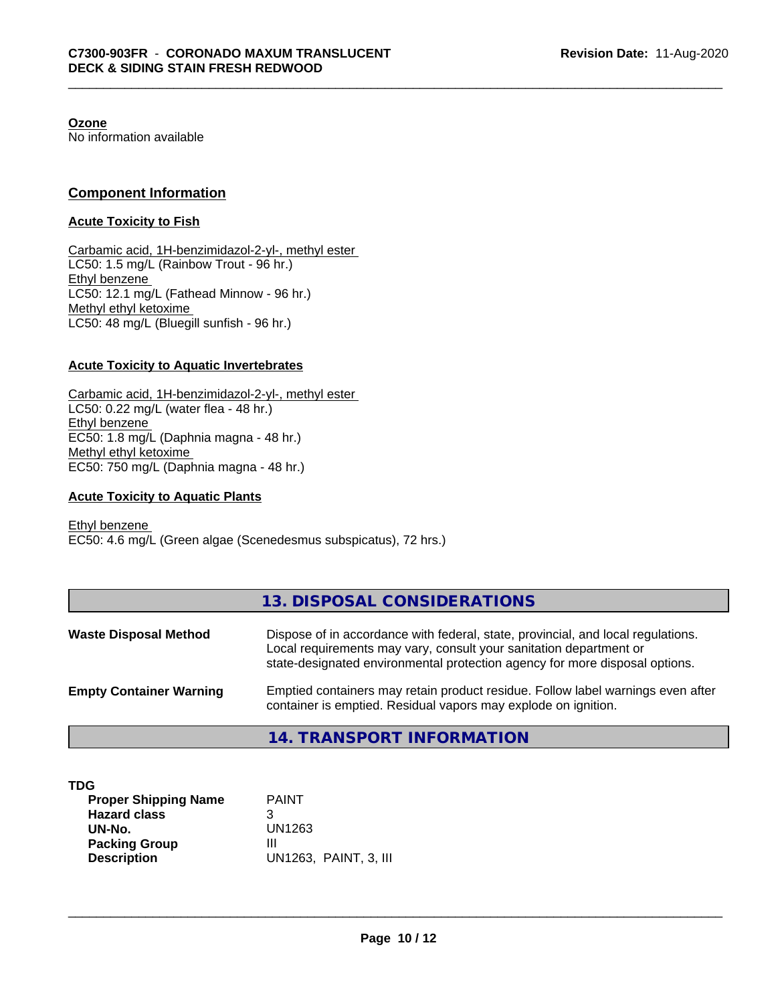**Ozone**

No information available

# **Component Information**

# **Acute Toxicity to Fish**

Carbamic acid, 1H-benzimidazol-2-yl-, methyl ester LC50: 1.5 mg/L (Rainbow Trout - 96 hr.) Ethyl benzene LC50: 12.1 mg/L (Fathead Minnow - 96 hr.) Methyl ethyl ketoxime LC50: 48 mg/L (Bluegill sunfish - 96 hr.)

# **Acute Toxicity to Aquatic Invertebrates**

Carbamic acid, 1H-benzimidazol-2-yl-, methyl ester LC50: 0.22 mg/L (water flea - 48 hr.) Ethyl benzene EC50: 1.8 mg/L (Daphnia magna - 48 hr.) Methyl ethyl ketoxime EC50: 750 mg/L (Daphnia magna - 48 hr.)

# **Acute Toxicity to Aquatic Plants**

Ethyl benzene EC50: 4.6 mg/L (Green algae (Scenedesmus subspicatus), 72 hrs.)

|                                | 13. DISPOSAL CONSIDERATIONS                                                                                                                                                                                                           |
|--------------------------------|---------------------------------------------------------------------------------------------------------------------------------------------------------------------------------------------------------------------------------------|
| <b>Waste Disposal Method</b>   | Dispose of in accordance with federal, state, provincial, and local regulations.<br>Local requirements may vary, consult your sanitation department or<br>state-designated environmental protection agency for more disposal options. |
| <b>Empty Container Warning</b> | Emptied containers may retain product residue. Follow label warnings even after<br>container is emptied. Residual vapors may explode on ignition.                                                                                     |

# **14. TRANSPORT INFORMATION**

| _<br>٠<br>×<br>۰,<br>v |
|------------------------|
|------------------------|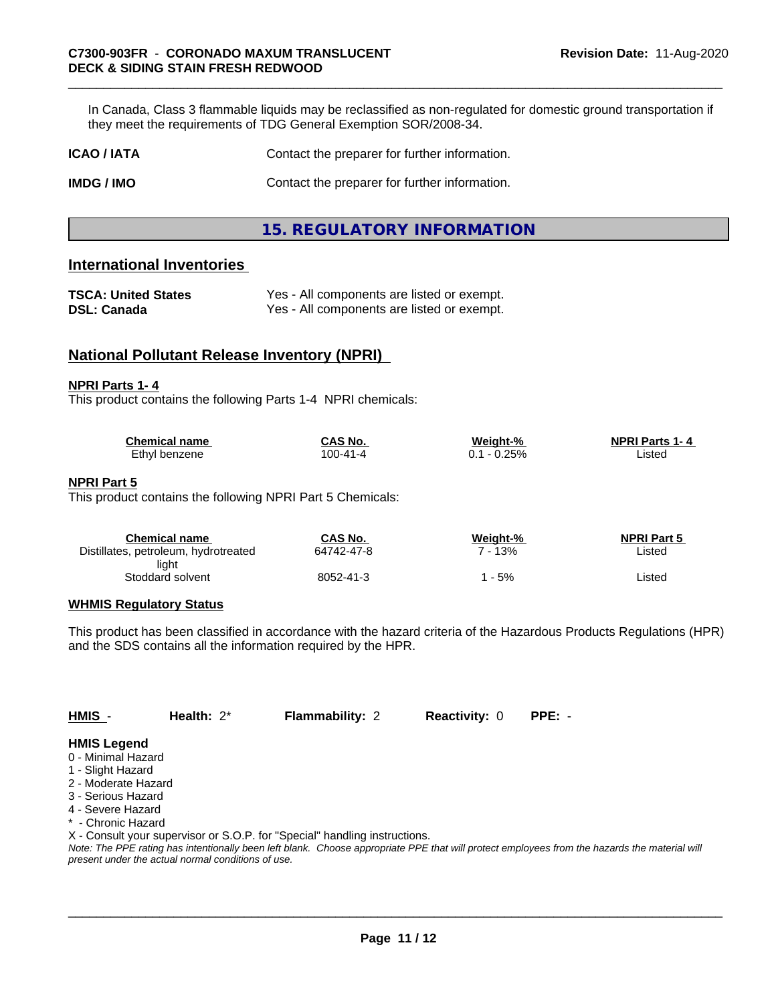In Canada, Class 3 flammable liquids may be reclassified as non-regulated for domestic ground transportation if they meet the requirements of TDG General Exemption SOR/2008-34.

| <b>ICAO / IATA</b> | Contact the preparer for further information. |
|--------------------|-----------------------------------------------|
|                    |                                               |

**IMDG / IMO** Contact the preparer for further information.

**15. REGULATORY INFORMATION**

# **International Inventories**

| <b>TSCA: United States</b> | Yes - All components are listed or exempt. |
|----------------------------|--------------------------------------------|
| <b>DSL: Canada</b>         | Yes - All components are listed or exempt. |

# **National Pollutant Release Inventory (NPRI)**

#### **NPRI Parts 1- 4**

This product contains the following Parts 1-4 NPRI chemicals:

| <b>Chemical name</b> | <b>CAS No.</b> | Weight-%     | <b>NPRI Parts</b><br>1 - 4 |
|----------------------|----------------|--------------|----------------------------|
| Ethvl<br>benzene     | 00-41-4١       | 0.25%<br>0.1 | Listec                     |

#### **NPRI Part 5**

This product contains the following NPRI Part 5 Chemicals:

| CAS No.    | Weight-% | <b>NPRI Part 5</b> |  |
|------------|----------|--------------------|--|
| 64742-47-8 | 13%      | Listed             |  |
|            |          |                    |  |
| 8052-41-3  | - 5%     | ∟isted             |  |
|            |          |                    |  |

# **WHMIS Regulatory Status**

This product has been classified in accordance with the hazard criteria of the Hazardous Products Regulations (HPR) and the SDS contains all the information required by the HPR.

**HMIS** - **Health:** 2\* **Flammability:** 2 **Reactivity:** 0 **PPE:** -

# **HMIS Legend**

- 0 Minimal Hazard
- 1 Slight Hazard
- 2 Moderate Hazard
- 3 Serious Hazard
- 4 Severe Hazard
- \* Chronic Hazard

X - Consult your supervisor or S.O.P. for "Special" handling instructions.

*Note: The PPE rating has intentionally been left blank. Choose appropriate PPE that will protect employees from the hazards the material will present under the actual normal conditions of use.*